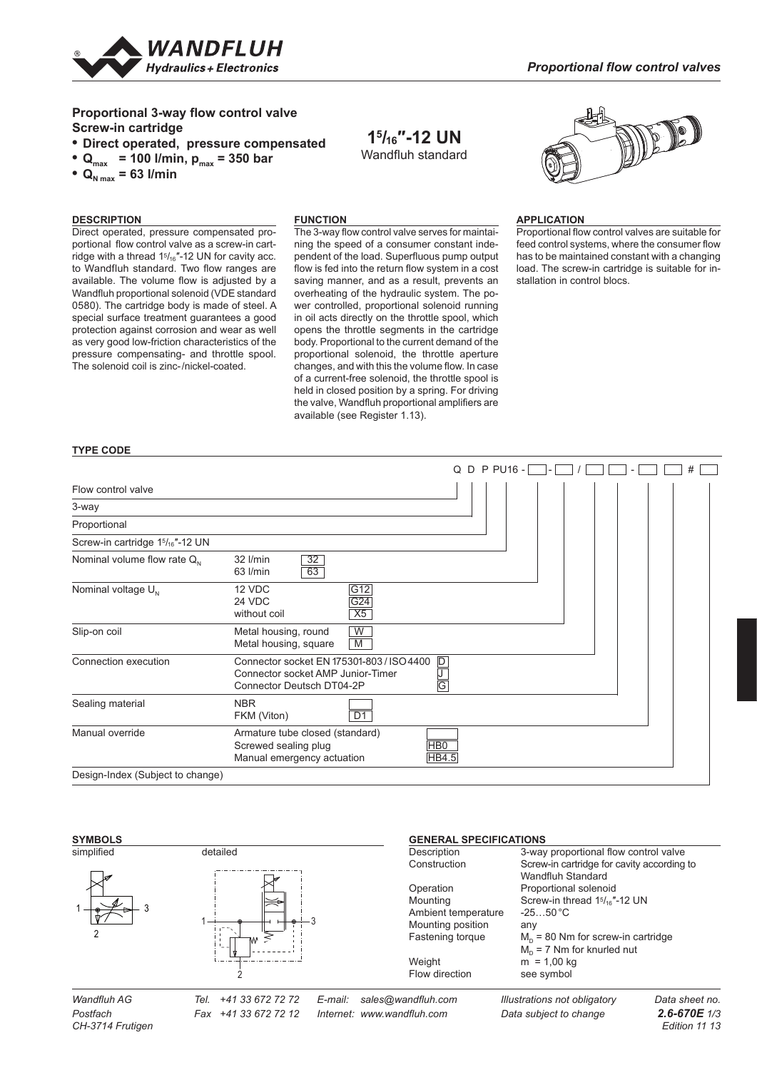

# **Proportional 3-way flow control valve Screw-in cartridge**

- **• Direct operated, pressure compensated**
- $Q_{\text{max}}$  = 100 l/min,  $p_{\text{max}}$  = 350 bar
- $Q_{N \max} = 63$  l/min

# **DESCRIPTION**

### **FUNCTION**

Direct operated, pressure compensated proportional flow control valve as a screw-in cartridge with a thread  $15/16$ "-12 UN for cavity acc. to Wandfluh standard. Two flow ranges are available. The volume flow is adjusted by a Wandfluh proportional solenoid (VDE standard 0580). The cartridge body is made of steel. A special surface treatment guarantees a good protection against corrosion and wear as well as very good low-friction characteristics of the pressure compensating- and throttle spool. The solenoid coil is zinc-/nickel-coated.

The 3-way flow control valve serves for maintaining the speed of a consumer constant independent of the load. Superfluous pump output flow is fed into the return flow system in a cost saving manner, and as a result, prevents an overheating of the hydraulic system. The power controlled, proportional solenoid running in oil acts directly on the throttle spool, which opens the throttle segments in the cartridge body. Proportional to the current demand of the proportional solenoid, the throttle aperture changes, and with this the volume flow. In case of a current-free solenoid, the throttle spool is held in closed position by a spring. For driving the valve, Wandfluh proportional amplifiers are available (see Register 1.13).

**15/16″-12 UN** Wandfluh standard



### **APPLICATION**

Proportional flow control valves are suitable for feed control systems, where the consumer flow has to be maintained constant with a changing load. The screw-in cartridge is suitable for installation in control blocs.

#### **TYPE CODE**

|                                                           |                                                                                                             | O                        | D<br>P PU16 - I | $\mathsf{I}$ |  | # |
|-----------------------------------------------------------|-------------------------------------------------------------------------------------------------------------|--------------------------|-----------------|--------------|--|---|
| Flow control valve                                        |                                                                                                             |                          |                 |              |  |   |
| 3-way                                                     |                                                                                                             |                          |                 |              |  |   |
| Proportional                                              |                                                                                                             |                          |                 |              |  |   |
| Screw-in cartridge 1 <sup>5</sup> / <sub>16</sub> "-12 UN |                                                                                                             |                          |                 |              |  |   |
| Nominal volume flow rate $Q_N$                            | 32 l/min<br>$\overline{32}$<br>63<br>63 l/min                                                               |                          |                 |              |  |   |
| Nominal voltage $U_{N}$                                   | G12<br>12 VDC<br>G24<br>24 VDC<br>X5<br>without coil                                                        |                          |                 |              |  |   |
| Slip-on coil                                              | $\overline{W}$<br>Metal housing, round<br>M<br>Metal housing, square                                        |                          |                 |              |  |   |
| Connection execution                                      | Connector socket EN 175301-803 / ISO 4400<br>Connector socket AMP Junior-Timer<br>Connector Deutsch DT04-2P | 이더 이                     |                 |              |  |   |
| Sealing material                                          | <b>NBR</b><br>D1<br>FKM (Viton)                                                                             |                          |                 |              |  |   |
| Manual override                                           | Armature tube closed (standard)<br>Screwed sealing plug<br>Manual emergency actuation                       | HB <sub>0</sub><br>HB4.5 |                 |              |  |   |



**90**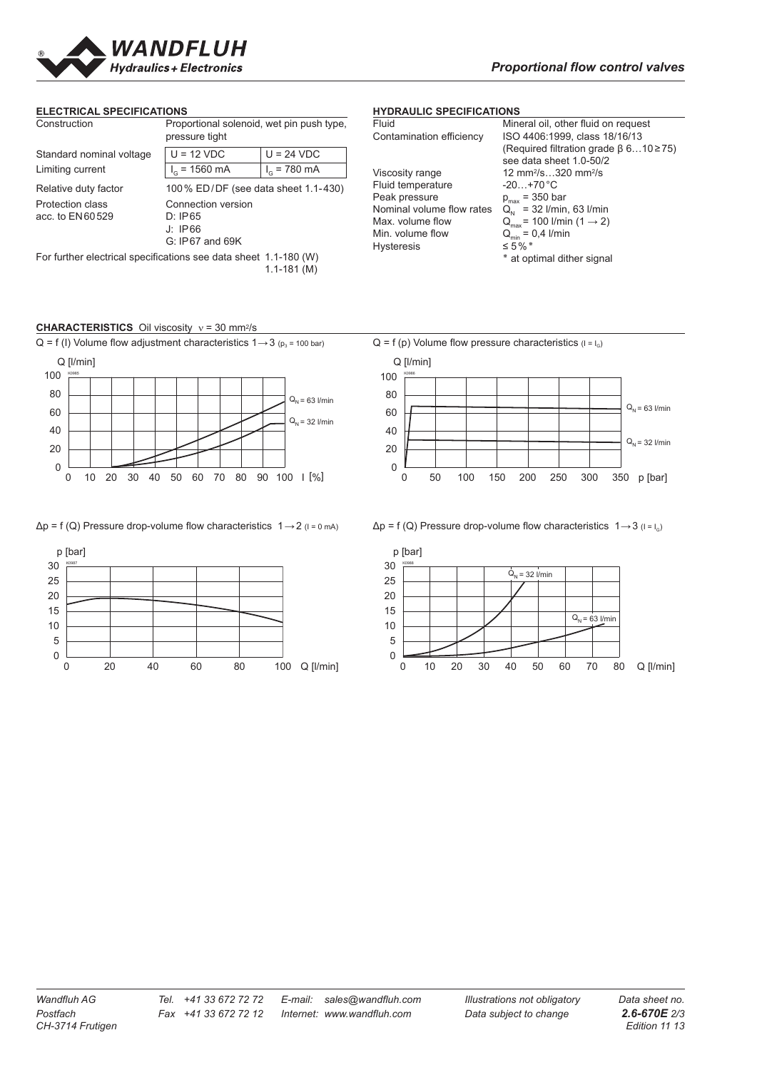

### **ELECTRICAL SPECIFICATIONS**

| Construction                                                     | Proportional solenoid, wet pin push type,<br>pressure tight   |                      |  |
|------------------------------------------------------------------|---------------------------------------------------------------|----------------------|--|
| Standard nominal voltage                                         | $U = 12 VDC$                                                  | $U = 24 VDC$         |  |
| Limiting current                                                 | $I_{\alpha}$ = 1560 mA                                        | $I_{\odot}$ = 780 mA |  |
| Relative duty factor                                             | 100 % ED/DF (see data sheet 1.1-430)                          |                      |  |
| Protection class<br>acc. to EN60529                              | Connection version<br>D: IP65<br>J: IP66<br>$G: IP67$ and 69K |                      |  |
| For further electrical specifications see data sheet 1.1-180 (W) |                                                               | $1.1 - 181$ (M)      |  |

## **HYDRAULIC SPECIFICATIONS**

| Fluid                     | Mineral oil, other fluid on request          |
|---------------------------|----------------------------------------------|
| Contamination efficiency  | ISO 4406:1999, class 18/16/13                |
|                           | (Required filtration grade $\beta$ 610 ≥ 75) |
|                           | see data sheet 1.0-50/2                      |
| Viscosity range           | 12 mm <sup>2</sup> /s320 mm <sup>2</sup> /s  |
| Fluid temperature         | $-20+70 °C$                                  |
| Peak pressure             | $p_{max}$ = 350 bar                          |
| Nominal volume flow rates | $Q_{N}$ = 32 I/min, 63 I/min                 |
| Max. volume flow          | $Q_{max}$ = 100 I/min (1 $\rightarrow$ 2)    |
| Min. volume flow          | $Q_{\rm min} = 0.4$ I/min                    |
| Hysteresis                | $\leq 5\%$ *                                 |
|                           | * at optimal dither signal                   |
|                           |                                              |







### $\Delta p = f(Q)$  Pressure drop-volume flow characteristics  $1 \rightarrow 2$  ( $1 = 0$  mA)  $\Delta p = f(Q)$  Pressure drop-volume flow characteristics  $1 \rightarrow 3$  ( $1 = 1_0$ )